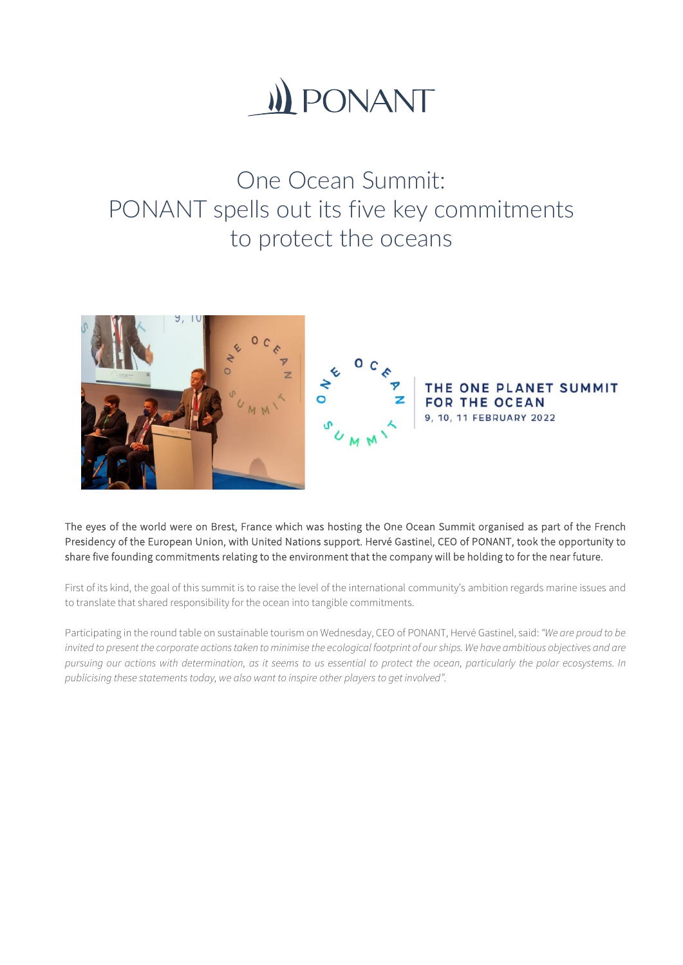# **II) PONANT**

One Ocean Summit: PONANT spells out its five key commitments to protect the oceans



The eyes of the world were on Brest, France which was hosting the One Ocean Summit organised as part of the French Presidency of the European Union, with United Nations support. Hervé Gastinel, CEO of PONANT, took the opportunity to share five founding commitments relating to the environment that the company will be holding to for the near future.

First of its kind, the goal of this summit is to raise the level of the international community's ambition regards marine issues and to translate that shared responsibility for the ocean into tangible commitments.

Participating in the round table on sustainable tourism on Wednesday, CEO of PONANT, Hervé Gastinel, said: *"We are proud to be*  invited to present the corporate actions taken to minimise the ecological footprint of our ships. We have ambitious objectives and are *pursuing our actions with determination, as it seems to us essential to protect the ocean, particularly the polar ecosystems. In publicising these statements today, we also want to inspire other players to get involved".*